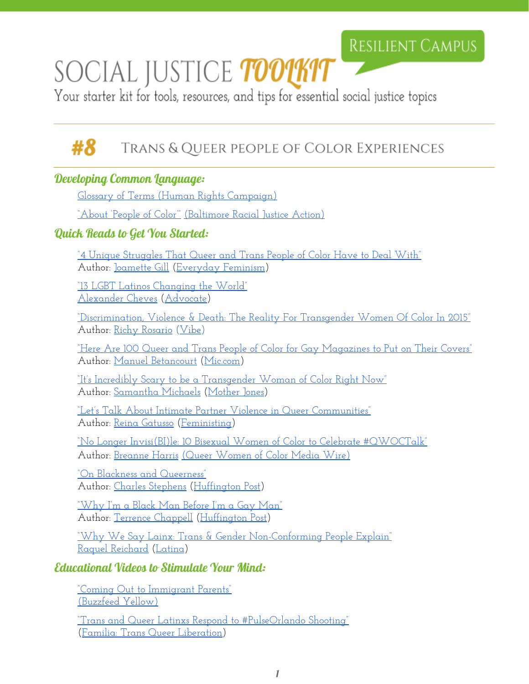# SOCIAL JUSTICE *toolkit*

Your starter kit for tools, resources, and tips for essential social justice topics

#### #8 Trans & Queer people of Color Experiences

# Developing Common Language:

[Glossary of Terms \(Human](http://www.hrc.org/resources/glossary-of-terms) Rights Campaign)

["About 'People of Color'"](http://bmoreantiracist.org/people-of-color/about-people-of-color/) (Baltimore [Racial Justice](http://bmoreantiracist.org/) Action)

# Quick Reads to Get You Started:

<u>["4 Unique Struggles That Queer](http://everydayfeminism.com/2016/01/unique-queer-poc-struggles/) and Trans People of Color Have to Deal With"</u> Author: [Joamette Gill](http://everydayfeminism.com/author/joametteg/) [\(Everyday](http://everydayfeminism.com/) Feminism)

["13 LGBT Latinos Changing the](http://www.advocate.com/arts-entertainment/2015/9/28/13-lgbt-latinos-changing-world) World" [Alexander Cheves](http://www.advocate.com/authors/alexander-cheves) ([Advocate\)](http://www.advocate.com/)

["Discrimination, Violence](http://www.vibe.com/featured/transgender-women-of-color-discrimination-2015/) & Death: The Reality For Transgender Women Of Color In 2015" Author: [Richy Rosario](http://www.vibe.com/author/rrosario/) [\(Vibe\)](http://www.vibe.com/)

["Here Are 100 Queer](https://mic.com/articles/143162/here-are-100-queer-and-trans-people-of-color-for-gay-magazines-to-put-on-their-covers) and Trans People of Color for Gay Magazines to Put on Their Covers" Author: [Manuel Betancourt](https://mic.com/profiles/188861/manuel-betancourt) [\(Mic.com](https://mic.com/))

["It's Incredibly Scary to](http://www.motherjones.com/politics/2015/06/transgender-women-disproportionately-targeted-violent-hate-crimes) be a Transgender Woman of Color Right Now" Author: [Samantha Michaels](http://www.motherjones.com/authors/samantha-michaels) [\(Mother](http://www.motherjones.com/) Jones)

["Let's Talk About Intimate](http://feministing.com/2015/04/28/lets-talk-about-intimate-partner-violence-in-queer-communities/) Partner Violence in Queer Communities" Author: [Reina Gatusso](http://feministing.com/author/reinagattuso/) [\(Feministing\)](http://feministing.com/)

["No Longer Invisi\(BI\)le:](http://www.qwoc.org/2013/03/no-longer-invisibile-10-bisexual-women-of-color-to-celebrate-qwoctalk/) 10 Bisexual Women of Color to Celebrate #QWOCTalk" Author: [Breanne Harris](http://www.qwoc.org/author/breanne/) (Queer [Women](http://www.qwoc.org/) of Color Media Wire)

["On Blackness and Queerness"](http://www.huffingtonpost.com/charles-stephens/on-blackness-and-queerness_b_3411863.html) Author: [Charles Stephens](http://www.huffingtonpost.com/author/charlesfstephens-521) [\(Huffington](http://www.huffingtonpost.com/) Post)

["Why I'm a Black Man](http://www.huffingtonpost.com/terrence-chappell/why-im-a-black-man-before-im-a-gay-man_b_6070912.html) Before I'm a Gay Man" Author: [Terrence Chappell](http://www.huffingtonpost.com/author/terrence-chappell) [\(Huffington](http://www.huffingtonpost.com/) Post)

"Why We Say Lainx: Trans & Gender [Non-Conforming People](http://www.latina.com/lifestyle/our-issues/why-we-say-latinx-trans-gender-non-conforming-people-explain) Explain" [Raquel Reichard](http://www.latina.com/author/raquel-reichard) [\(Latina\)](http://www.latina.com/)

# Educational Videos to Stimulate Your Mind:

["Coming Out to Immigrant Parents"](https://www.youtube.com/watch?v=Bz1bkHRwP6I) [\(Buzzfeed Yellow\)](https://www.youtube.com/user/BuzzFeedYellow)

["Trans and Queer Latinxs Respond](https://www.youtube.com/watch?v=VVaMvZxE_e0) to #PulseOrlando Shooting" ([Familia: Trans Queer](http://familiatqlm.org/) Liberation)